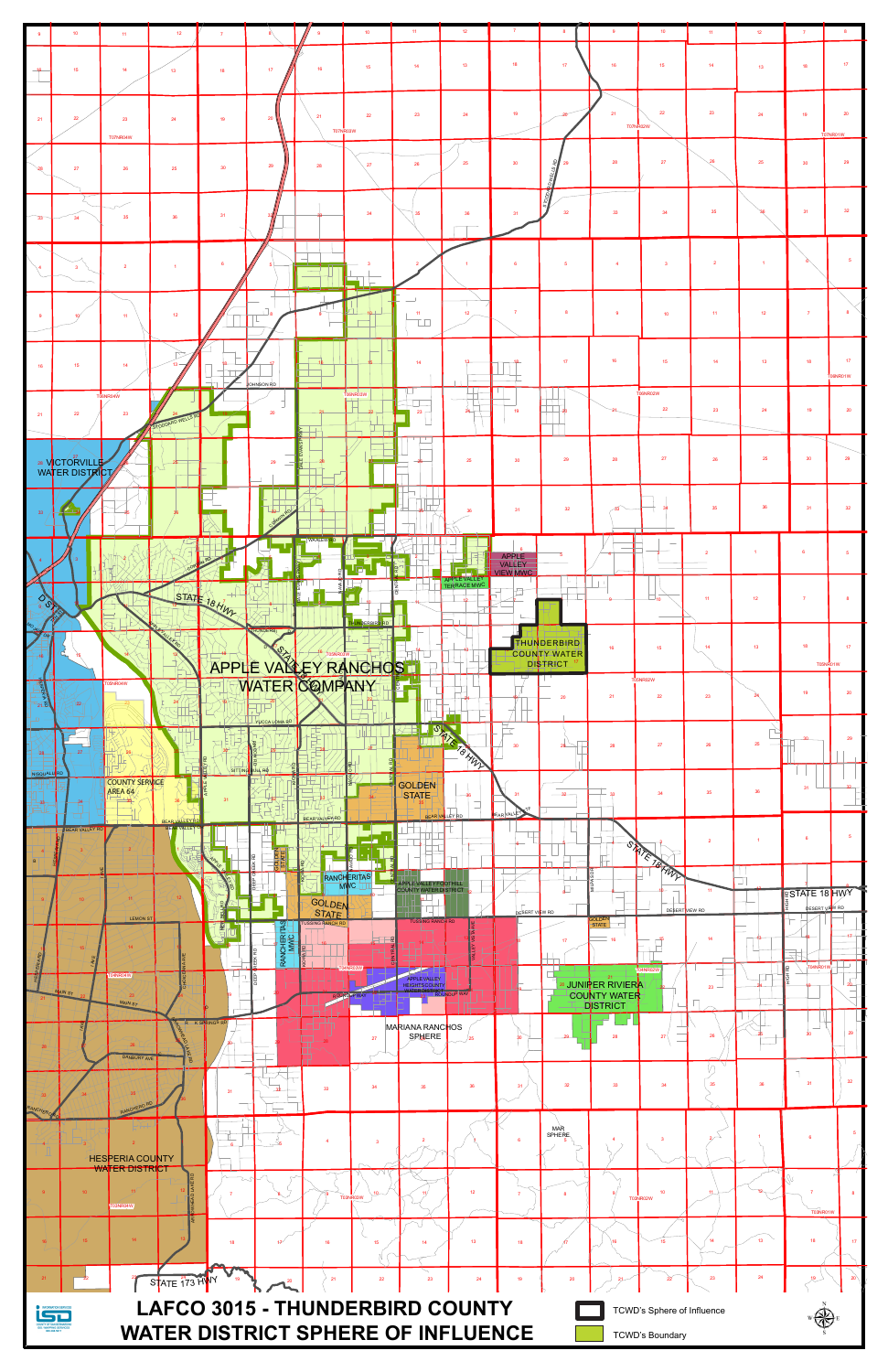